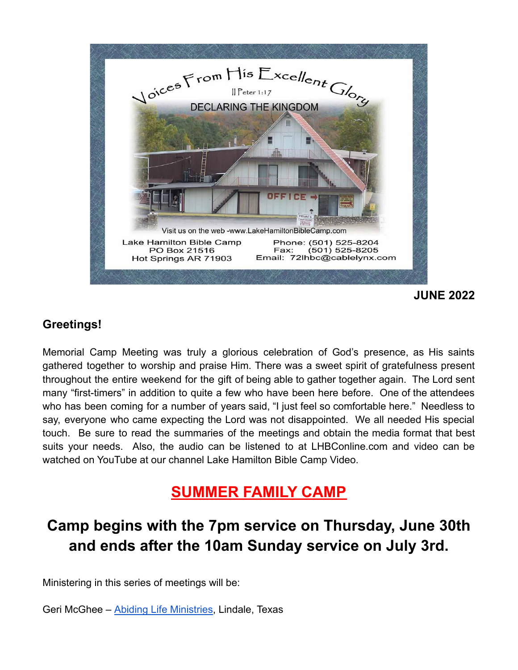

### **Greetings!**

Memorial Camp Meeting was truly a glorious celebration of God's presence, as His saints gathered together to worship and praise Him. There was a sweet spirit of gratefulness present throughout the entire weekend for the gift of being able to gather together again. The Lord sent many "first-timers" in addition to quite a few who have been here before. One of the attendees who has been coming for a number of years said, "I just feel so comfortable here." Needless to say, everyone who came expecting the Lord was not disappointed. We all needed His special touch. Be sure to read the summaries of the meetings and obtain the media format that best suits your needs. Also, the audio can be listened to at LHBConline.com and video can be watched on YouTube at our channel Lake Hamilton Bible Camp Video.

# **SUMMER FAMILY CAMP**

# **Camp begins with the 7pm service on Thursday, June 30th and ends after the 10am Sunday service on July 3rd.**

Ministering in this series of meetings will be:

Geri McGhee – [Abiding Life Ministries,](https://gerimcghee.com/) Lindale, Texas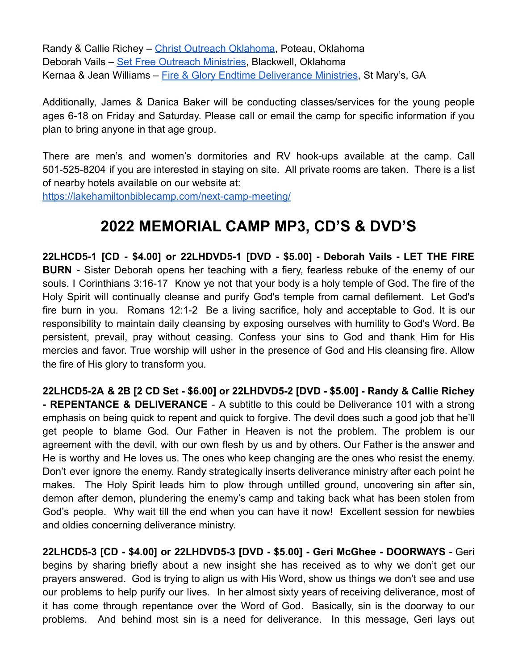Randy & Callie Richey – [Christ Outreach Oklahoma](http://christoutreachoklahoma.com/), Poteau, Oklahoma Deborah Vails – [Set Free Outreach Ministries,](https://setfreeoutreachministries.org/) Blackwell, Oklahoma Kernaa & Jean Williams – [Fire & Glory Endtime Deliverance](https://www.fireandgloryendtimedeliveranceministries.net/) Ministries, St Mary's, GA

Additionally, James & Danica Baker will be conducting classes/services for the young people ages 6-18 on Friday and Saturday. Please call or email the camp for specific information if you plan to bring anyone in that age group.

There are men's and women's dormitories and RV hook-ups available at the camp. Call 501-525-8204 if you are interested in staying on site. All private rooms are taken. There is a list of nearby hotels available on our website at:

<https://lakehamiltonbiblecamp.com/next-camp-meeting/>

## **2022 MEMORIAL CAMP MP3, CD'S & DVD'S**

**22LHCD5-1 [CD - \$4.00] or 22LHDVD5-1 [DVD - \$5.00] - Deborah Vails - LET THE FIRE BURN** - Sister Deborah opens her teaching with a fiery, fearless rebuke of the enemy of our souls. I Corinthians 3:16-17 Know ye not that your body is a holy temple of God. The fire of the Holy Spirit will continually cleanse and purify God's temple from carnal defilement. Let God's fire burn in you. Romans 12:1-2 Be a living sacrifice, holy and acceptable to God. It is our responsibility to maintain daily cleansing by exposing ourselves with humility to God's Word. Be persistent, prevail, pray without ceasing. Confess your sins to God and thank Him for His mercies and favor. True worship will usher in the presence of God and His cleansing fire. Allow the fire of His glory to transform you.

**22LHCD5-2A & 2B [2 CD Set - \$6.00] or 22LHDVD5-2 [DVD - \$5.00] - Randy & Callie Richey - REPENTANCE & DELIVERANCE** - A subtitle to this could be Deliverance 101 with a strong emphasis on being quick to repent and quick to forgive. The devil does such a good job that he'll get people to blame God. Our Father in Heaven is not the problem. The problem is our agreement with the devil, with our own flesh by us and by others. Our Father is the answer and He is worthy and He loves us. The ones who keep changing are the ones who resist the enemy. Don't ever ignore the enemy. Randy strategically inserts deliverance ministry after each point he makes. The Holy Spirit leads him to plow through untilled ground, uncovering sin after sin, demon after demon, plundering the enemy's camp and taking back what has been stolen from God's people. Why wait till the end when you can have it now! Excellent session for newbies and oldies concerning deliverance ministry.

**22LHCD5-3 [CD - \$4.00] or 22LHDVD5-3 [DVD - \$5.00] - Geri McGhee - DOORWAYS** - Geri begins by sharing briefly about a new insight she has received as to why we don't get our prayers answered. God is trying to align us with His Word, show us things we don't see and use our problems to help purify our lives. In her almost sixty years of receiving deliverance, most of it has come through repentance over the Word of God. Basically, sin is the doorway to our problems. And behind most sin is a need for deliverance. In this message, Geri lays out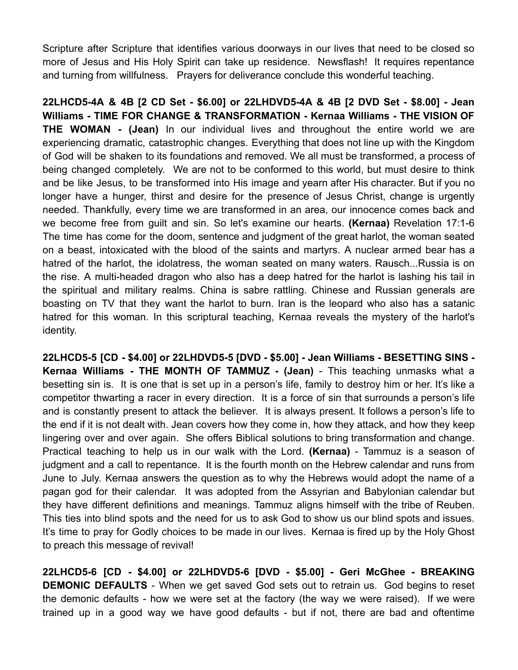Scripture after Scripture that identifies various doorways in our lives that need to be closed so more of Jesus and His Holy Spirit can take up residence. Newsflash! It requires repentance and turning from willfulness. Prayers for deliverance conclude this wonderful teaching.

**22LHCD5-4A & 4B [2 CD Set - \$6.00] or 22LHDVD5-4A & 4B [2 DVD Set - \$8.00] - Jean Williams - TIME FOR CHANGE & TRANSFORMATION - Kernaa Williams - THE VISION OF THE WOMAN - (Jean)** In our individual lives and throughout the entire world we are experiencing dramatic, catastrophic changes. Everything that does not line up with the Kingdom of God will be shaken to its foundations and removed. We all must be transformed, a process of being changed completely. We are not to be conformed to this world, but must desire to think and be like Jesus, to be transformed into His image and yearn after His character. But if you no longer have a hunger, thirst and desire for the presence of Jesus Christ, change is urgently needed. Thankfully, every time we are transformed in an area, our innocence comes back and we become free from guilt and sin. So let's examine our hearts. **(Kernaa)** Revelation 17:1-6 The time has come for the doom, sentence and judgment of the great harlot, the woman seated on a beast, intoxicated with the blood of the saints and martyrs. A nuclear armed bear has a hatred of the harlot, the idolatress, the woman seated on many waters. Rausch...Russia is on the rise. A multi-headed dragon who also has a deep hatred for the harlot is lashing his tail in the spiritual and military realms. China is sabre rattling. Chinese and Russian generals are boasting on TV that they want the harlot to burn. Iran is the leopard who also has a satanic hatred for this woman. In this scriptural teaching, Kernaa reveals the mystery of the harlot's identity.

**22LHCD5-5 [CD - \$4.00] or 22LHDVD5-5 [DVD - \$5.00] - Jean Williams - BESETTING SINS - Kernaa Williams - THE MONTH OF TAMMUZ - (Jean)** - This teaching unmasks what a besetting sin is. It is one that is set up in a person's life, family to destroy him or her. It's like a competitor thwarting a racer in every direction. It is a force of sin that surrounds a person's life and is constantly present to attack the believer. It is always present. It follows a person's life to the end if it is not dealt with. Jean covers how they come in, how they attack, and how they keep lingering over and over again. She offers Biblical solutions to bring transformation and change. Practical teaching to help us in our walk with the Lord. **(Kernaa)** - Tammuz is a season of judgment and a call to repentance. It is the fourth month on the Hebrew calendar and runs from June to July. Kernaa answers the question as to why the Hebrews would adopt the name of a pagan god for their calendar. It was adopted from the Assyrian and Babylonian calendar but they have different definitions and meanings. Tammuz aligns himself with the tribe of Reuben. This ties into blind spots and the need for us to ask God to show us our blind spots and issues. It's time to pray for Godly choices to be made in our lives. Kernaa is fired up by the Holy Ghost to preach this message of revival!

**22LHCD5-6 [CD - \$4.00] or 22LHDVD5-6 [DVD - \$5.00] - Geri McGhee - BREAKING DEMONIC DEFAULTS** - When we get saved God sets out to retrain us. God begins to reset the demonic defaults - how we were set at the factory (the way we were raised). If we were trained up in a good way we have good defaults - but if not, there are bad and oftentime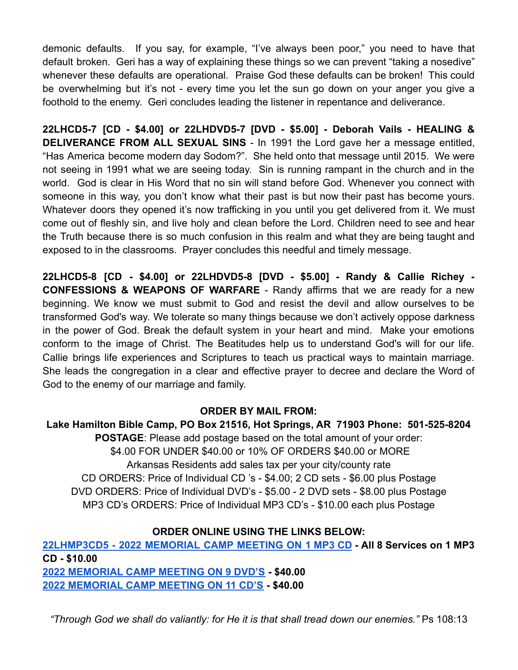demonic defaults. If you say, for example, "I've always been poor," you need to have that default broken. Geri has a way of explaining these things so we can prevent "taking a nosedive" whenever these defaults are operational. Praise God these defaults can be broken! This could be overwhelming but it's not - every time you let the sun go down on your anger you give a foothold to the enemy. Geri concludes leading the listener in repentance and deliverance.

**22LHCD5-7 [CD - \$4.00] or 22LHDVD5-7 [DVD - \$5.00] - Deborah Vails - HEALING & DELIVERANCE FROM ALL SEXUAL SINS** - In 1991 the Lord gave her a message entitled, "Has America become modern day Sodom?". She held onto that message until 2015. We were not seeing in 1991 what we are seeing today. Sin is running rampant in the church and in the world. God is clear in His Word that no sin will stand before God. Whenever you connect with someone in this way, you don't know what their past is but now their past has become yours. Whatever doors they opened it's now trafficking in you until you get delivered from it. We must come out of fleshly sin, and live holy and clean before the Lord. Children need to see and hear the Truth because there is so much confusion in this realm and what they are being taught and exposed to in the classrooms. Prayer concludes this needful and timely message.

**22LHCD5-8 [CD - \$4.00] or 22LHDVD5-8 [DVD - \$5.00] - Randy & Callie Richey - CONFESSIONS & WEAPONS OF WARFARE** - Randy affirms that we are ready for a new beginning. We know we must submit to God and resist the devil and allow ourselves to be transformed God's way. We tolerate so many things because we don't actively oppose darkness in the power of God. Break the default system in your heart and mind. Make your emotions conform to the image of Christ. The Beatitudes help us to understand God's will for our life. Callie brings life experiences and Scriptures to teach us practical ways to maintain marriage. She leads the congregation in a clear and effective prayer to decree and declare the Word of God to the enemy of our marriage and family.

#### **ORDER BY MAIL FROM:**

**Lake Hamilton Bible Camp, PO Box 21516, Hot Springs, AR 71903 Phone: 501-525-8204 POSTAGE**: Please add postage based on the total amount of your order: \$4.00 FOR UNDER \$40.00 or 10% OF ORDERS \$40.00 or MORE Arkansas Residents add sales tax per your city/county rate CD ORDERS: Price of Individual CD 's - \$4.00; 2 CD sets - \$6.00 plus Postage DVD ORDERS: Price of Individual DVD's - \$5.00 - 2 DVD sets - \$8.00 plus Postage MP3 CD's ORDERS: Price of Individual MP3 CD's - \$10.00 each plus Postage

### **ORDER ONLINE USING THE LINKS BELOW:**

**[22LHMP3CD5](https://lhbcshop.com/shop/ols/products/2022-memorial-camp-meeting-on-1-mp3-cd) - 2022 MEMORIAL CAMP MEETING ON 1 MP3 CD - All 8 Services on 1 MP3 CD - \$10.00 [2022 MEMORIAL CAMP MEETING ON 9 DVD'S](https://7b2540b6-0c7e-4015-9534-25b32b3aa56c.onlinestore.godaddy.com/admin/products/2022-memorial-camp-meeting-on-9-dvds/edit) - \$40.00 [2022 MEMORIAL CAMP MEETING ON 11 CD'S](https://7b2540b6-0c7e-4015-9534-25b32b3aa56c.onlinestore.godaddy.com/admin/products/2022-memorial-camp-meeting-on-11-cds/edit) - \$40.00**

*"Through God we shall do valiantly: for He it is that shall tread down our enemies."* Ps 108:13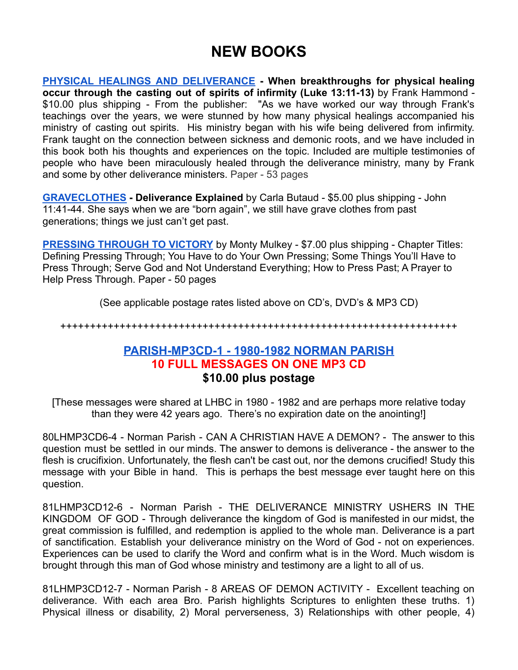## **NEW BOOKS**

**PHYSICAL HEALINGS AND [DELIVERANCE](https://lhbcshop.com/shop/ols/products/physical-healings-and-deliverance-by-frank-hammond) - When breakthroughs for physical healing occur through the casting out of spirits of infirmity (Luke 13:11-13)** by Frank Hammond - \$10.00 plus shipping - From the publisher: "As we have worked our way through Frank's teachings over the years, we were stunned by how many physical healings accompanied his ministry of casting out spirits. His ministry began with his wife being delivered from infirmity. Frank taught on the connection between sickness and demonic roots, and we have included in this book both his thoughts and experiences on the topic. Included are multiple testimonies of people who have been miraculously healed through the deliverance ministry, many by Frank and some by other deliverance ministers. Paper - 53 pages

**[GRAVECLOTHES](https://lhbcshop.com/shop/ols/products/graveclothes-by-carla-butaud) - Deliverance Explained** by Carla Butaud - \$5.00 plus shipping - John 11:41-44. She says when we are "born again", we still have grave clothes from past generations; things we just can't get past.

**[PRESSING THROUGH TO VICTORY](https://lhbcshop.com/shop/ols/products/pressing-through-to-victory-by-monty-mulkey)** by Monty Mulkey - \$7.00 plus shipping - Chapter Titles: Defining Pressing Through; You Have to do Your Own Pressing; Some Things You'll Have to Press Through; Serve God and Not Understand Everything; How to Press Past; A Prayer to Help Press Through. Paper - 50 pages

(See applicable postage rates listed above on CD's, DVD's & MP3 CD)

+++++++++++++++++++++++++++++++++++++++++++++++++++++++++++++++++++

### **[PARISH-MP3CD-1](https://lhbcshop.com/shop/ols/products/parish-mp3cd-1-1980-1982-norman-parish) - 1980-1982 NORMAN PARISH 10 FULL MESSAGES ON ONE MP3 CD \$10.00 plus postage**

[These messages were shared at LHBC in 1980 - 1982 and are perhaps more relative today than they were 42 years ago. There's no expiration date on the anointing!]

80LHMP3CD6-4 - Norman Parish - CAN A CHRISTIAN HAVE A DEMON? - The answer to this question must be settled in our minds. The answer to demons is deliverance - the answer to the flesh is crucifixion. Unfortunately, the flesh can't be cast out, nor the demons crucified! Study this message with your Bible in hand. This is perhaps the best message ever taught here on this question.

81LHMP3CD12-6 - Norman Parish - THE DELIVERANCE MINISTRY USHERS IN THE KINGDOM OF GOD - Through deliverance the kingdom of God is manifested in our midst, the great commission is fulfilled, and redemption is applied to the whole man. Deliverance is a part of sanctification. Establish your deliverance ministry on the Word of God - not on experiences. Experiences can be used to clarify the Word and confirm what is in the Word. Much wisdom is brought through this man of God whose ministry and testimony are a light to all of us.

81LHMP3CD12-7 - Norman Parish - 8 AREAS OF DEMON ACTIVITY - Excellent teaching on deliverance. With each area Bro. Parish highlights Scriptures to enlighten these truths. 1) Physical illness or disability, 2) Moral perverseness, 3) Relationships with other people, 4)